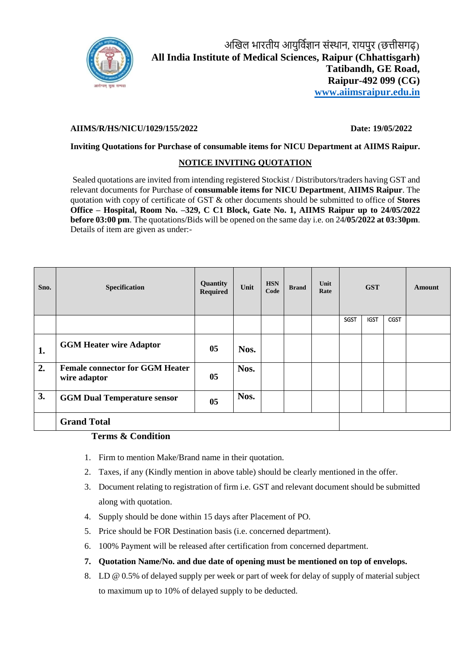

# **AIIMS/R/HS/NICU/1029/155/2022 Date: 19/05/2022**

## **Inviting Quotations for Purchase of consumable items for NICU Department at AIIMS Raipur.**

### **NOTICE INVITING QUOTATION**

Sealed quotations are invited from intending registered Stockist / Distributors/traders having GST and relevant documents for Purchase of **consumable items for NICU Department**, **AIIMS Raipur**. The quotation with copy of certificate of GST & other documents should be submitted to office of **Stores Office – Hospital, Room No. –329, C C1 Block, Gate No. 1, AIIMS Raipur up to 24/05/2022 before 03:00 pm**. The quotations/Bids will be opened on the same day i.e. on 24**/05/2022 at 03:30pm**. Details of item are given as under:-

| Sno. | Specification                                          | Quantity<br><b>Required</b> | Unit | <b>HSN</b><br>Code | <b>Brand</b> | Unit<br>Rate | <b>GST</b>  |             |             | <b>Amount</b> |
|------|--------------------------------------------------------|-----------------------------|------|--------------------|--------------|--------------|-------------|-------------|-------------|---------------|
|      |                                                        |                             |      |                    |              |              | <b>SGST</b> | <b>IGST</b> | <b>CGST</b> |               |
| 1.   | <b>GGM Heater wire Adaptor</b>                         | 05                          | Nos. |                    |              |              |             |             |             |               |
| 2.   | <b>Female connector for GGM Heater</b><br>wire adaptor | 05                          | Nos. |                    |              |              |             |             |             |               |
| 3.   | <b>GGM Dual Temperature sensor</b>                     | 05                          | Nos. |                    |              |              |             |             |             |               |
|      | <b>Grand Total</b>                                     |                             |      |                    |              |              |             |             |             |               |

#### **Terms & Condition**

- 1. Firm to mention Make/Brand name in their quotation.
- 2. Taxes, if any (Kindly mention in above table) should be clearly mentioned in the offer.
- 3. Document relating to registration of firm i.e. GST and relevant document should be submitted along with quotation.
- 4. Supply should be done within 15 days after Placement of PO.
- 5. Price should be FOR Destination basis (i.e. concerned department).
- 6. 100% Payment will be released after certification from concerned department.
- **7. Quotation Name/No. and due date of opening must be mentioned on top of envelops.**
- 8. LD @ 0.5% of delayed supply per week or part of week for delay of supply of material subject to maximum up to 10% of delayed supply to be deducted.